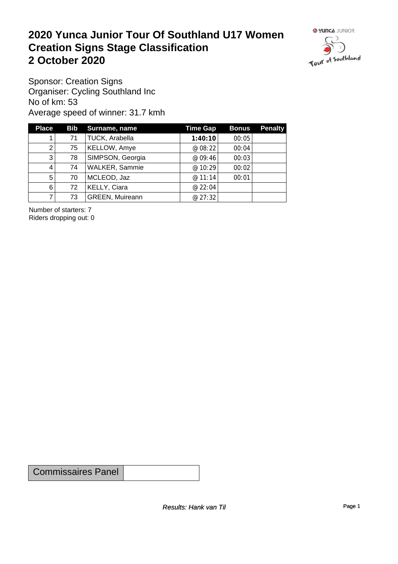#### **2020 Yunca Junior Tour Of Southland U17 Women Creation Signs Stage Classification**<br>
2 October 2020 **2 October 2020**



Sponsor: Creation Signs Organiser: Cycling Southland Inc No of km: 53 Average speed of winner: 31.7 kmh

| <b>Place</b>   |    | Bib Surname, name      | <b>Time Gap</b> | <b>Bonus</b> | <b>Penalty</b> |
|----------------|----|------------------------|-----------------|--------------|----------------|
|                | 71 | TUCK, Arabella         | 1:40:10         | 00:05        |                |
| 2              | 75 | KELLOW, Amye           | @ 08:22         | 00:04        |                |
| 3              | 78 | SIMPSON, Georgia       | @ 09:46         | 00:03        |                |
| 4              | 74 | <b>WALKER, Sammie</b>  | @ 10:29         | 00:02        |                |
| 5 <sup>1</sup> | 70 | MCLEOD, Jaz            | @ 11:14         | 00:01        |                |
| 6'             | 72 | KELLY, Ciara           | @ 22:04         |              |                |
|                | 73 | <b>GREEN, Muireann</b> | @ 27:32         |              |                |

Number of starters: 7 Riders dropping out: 0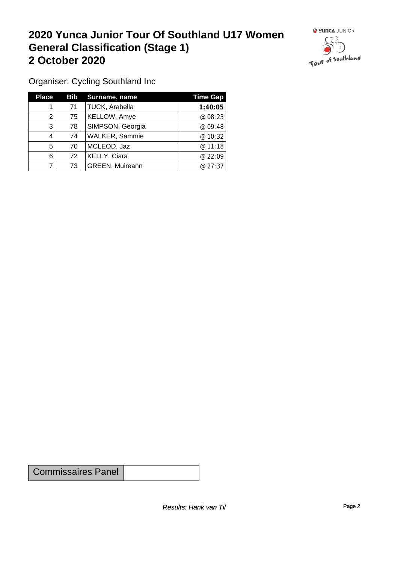#### **2020 Yunca Junior Tour Of Southland U17 Women General Classification (Stage 1)**<br>
2 October 2020 **2 October 2020**



Organiser: Cycling Southland Inc

| <b>Place</b> | Bib | Surname, name          | <b>Time Gap</b> |
|--------------|-----|------------------------|-----------------|
|              | 71  | TUCK, Arabella         | 1:40:05         |
| 2            | 75  | KELLOW, Amye           | @ 08:23         |
| 3            | 78  | SIMPSON, Georgia       | @ 09:48         |
| 4            | 74  | <b>WALKER, Sammie</b>  | @ 10:32         |
| 5            | 70  | MCLEOD, Jaz            | @ 11:18         |
| 6            | 72  | KELLY, Ciara           | @ 22:09         |
|              | 73  | <b>GREEN, Muireann</b> | @27:37          |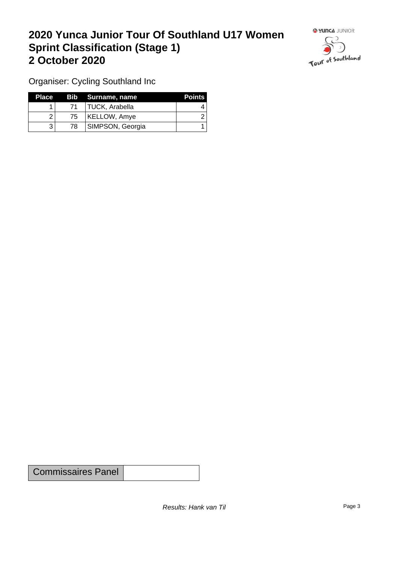## **2020 Yunca Junior Tour Of Southland U17 Women Sprint Classification (Stage 1) 2 October 2020**



Organiser: Cycling Southland Inc

| <b>Place</b> |    | Bib Surname, name | <b>Points</b> |
|--------------|----|-------------------|---------------|
|              | 71 | TUCK, Arabella    |               |
|              | 75 | KELLOW, Amye      |               |
|              | 78 | SIMPSON, Georgia  |               |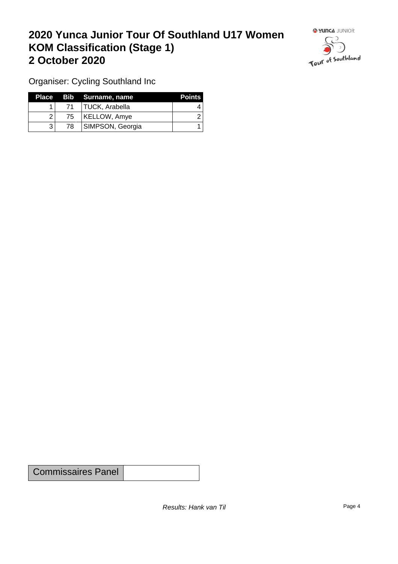## **2020 Yunca Junior Tour Of Southland U17 Women KOM Classification (Stage 1) 2 October 2020**



Organiser: Cycling Southland Inc

|              |     | Place Bib Surname, name | <b>Points</b> |
|--------------|-----|-------------------------|---------------|
|              |     | 71   TUCK, Arabella     |               |
|              | 751 | KELLOW, Amye            |               |
| $\mathbf{R}$ | 78  | SIMPSON, Georgia        |               |